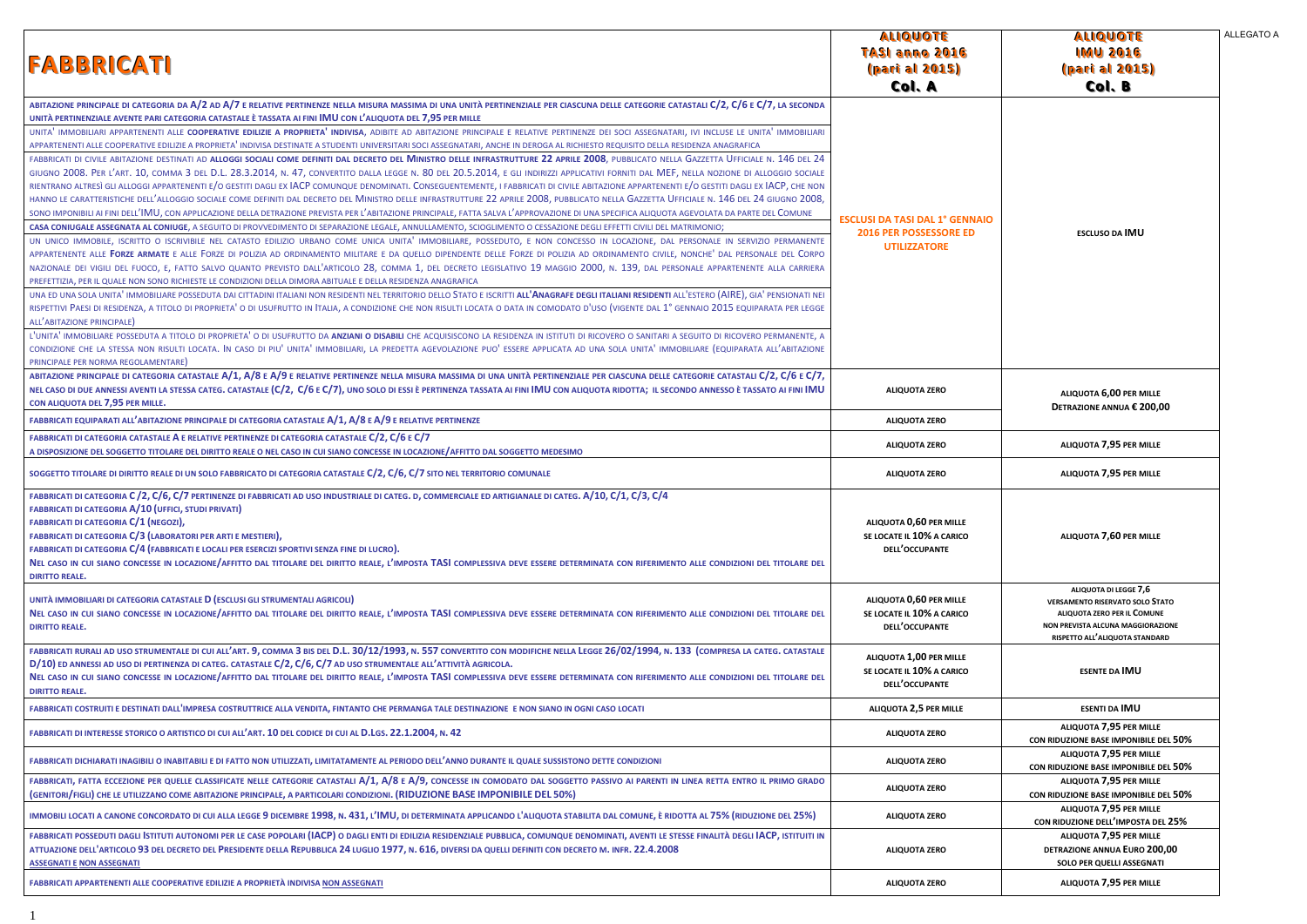| <b>FABBRICATI</b>                                                                                                                                                                                                                                                                                                                                                                                                                                                                                                                                                                                                                                                                                                                                                                                                                                                                                                                                                                                                                                                                                                                                                                                                                                                                                                                                                                                                                                                                                                                                                                                                                                                                                                                                                                                                                                                                                                                                                                                                                                                                                                                                                                                                                                                                                                                                                                                                                                                                                                                                                                                                                                                                                                                                                                                                                                                                                                                                                                                                                                                                                                                                                                                                                                                                                                                                                                                                                           | <b>ALIQUOTE</b><br>TASI anno 2016<br>(part al 2015)<br>Col. A                                |
|---------------------------------------------------------------------------------------------------------------------------------------------------------------------------------------------------------------------------------------------------------------------------------------------------------------------------------------------------------------------------------------------------------------------------------------------------------------------------------------------------------------------------------------------------------------------------------------------------------------------------------------------------------------------------------------------------------------------------------------------------------------------------------------------------------------------------------------------------------------------------------------------------------------------------------------------------------------------------------------------------------------------------------------------------------------------------------------------------------------------------------------------------------------------------------------------------------------------------------------------------------------------------------------------------------------------------------------------------------------------------------------------------------------------------------------------------------------------------------------------------------------------------------------------------------------------------------------------------------------------------------------------------------------------------------------------------------------------------------------------------------------------------------------------------------------------------------------------------------------------------------------------------------------------------------------------------------------------------------------------------------------------------------------------------------------------------------------------------------------------------------------------------------------------------------------------------------------------------------------------------------------------------------------------------------------------------------------------------------------------------------------------------------------------------------------------------------------------------------------------------------------------------------------------------------------------------------------------------------------------------------------------------------------------------------------------------------------------------------------------------------------------------------------------------------------------------------------------------------------------------------------------------------------------------------------------------------------------------------------------------------------------------------------------------------------------------------------------------------------------------------------------------------------------------------------------------------------------------------------------------------------------------------------------------------------------------------------------------------------------------------------------------------------------------------------------|----------------------------------------------------------------------------------------------|
| ABITAZIONE PRINCIPALE DI CATEGORIA DA A/2 AD A/7 E RELATIVE PERTINENZE NELLA MISURA MASSIMA DI UNA UNITÀ PERTINENZIALE PER CIASCUNA DELLE CATEGORIE CATASTALI C/2, C/6 E C/7, LA SECONDA<br>UNITÀ PERTINENZIALE AVENTE PARI CATEGORIA CATASTALE È TASSATA AI FINI IMU CON L'ALIQUOTA DEL 7,95 PER MILLE<br>UNITA IMMOBILIARI APPARTENENTI ALLE COOPERATIVE EDILIZIE A PROPRIETA INDIVISA, ADIBITE AD ABITAZIONE PRINCIPALE E RELATIVE PERTINENZE DEI SOCI ASSEGNATARI, IVI INCLUSE LE UNITA IMMOBILIARI<br>APPARTENENTI ALLE COOPERATIVE EDILIZIE A PROPRIETA <sup>1</sup> INDIVISA DESTINATE A STUDENTI UNIVERSITARI SOCI ASSEGNATARI, ANCHE IN DEROGA AL RICHIESTO REQUISITO DELLA RESIDENZA ANAGRAFICA<br>FABBRICATI DI CIVILE ABITAZIONE DESTINATI AD ALLOGGI SOCIALI COME DEFINITI DAL DECRETO DEL MINISTRO DELLE INFRASTRUTTURE 22 APRILE 2008, PUBBLICATO NELLA GAZZETTA UFFICIALE N. 146 DEL 24<br>GIUGNO 2008. PER L'ART. 10, COMMA 3 DEL D.L. 28.3.2014, N. 47, CONVERTITO DALLA LEGGE N. 80 DEL 20.5.2014, E GLI INDIRIZZI APPLICATIVI FORNITI DAL MEF, NELLA NOZIONE DI ALLOGGIO SOCIALE<br>RIENTRANO ALTRESÌ GLI ALLOGGI APPARTENENTI E/O GESTITI DAGLI EX IACP COMUNQUE DENOMINATI. CONSEGUENTEMENTE, I FABBRICATI DI CIVILE ABITAZIONE APPARTENENTI E/O GESTITI DAGLI EX IACP, CHE NON<br>HANNO LE CARATTERISTICHE DELL'ALLOGGIO SOCIALE COME DEFINITI DAL DECRETO DEL MINISTRO DELLE INFRASTRUTTURE 22 APRILE 2008, PUBBLICATO NELLA GAZZETTA UFFICIALE N. 146 DEL 24 GIUGNO 2008,<br>SONO IMPONIBILI AI FINI DELL'IMU, CON APPLICAZIONE DELLA DETRAZIONE PREVISTA PER L'ABITAZIONE PRINCIPALE, FATTA SALVA L'APPROVAZIONE DI UNA SPECIFICA ALIQUOTA AGEVOLATA DA PARTE DEL COMUNE<br>CASA CONIUGALE ASSEGNATA AL CONIUGE, A SEGUITO DI PROVVEDIMENTO DI SEPARAZIONE LEGALE, ANNULLAMENTO, SCIOGLIMENTO O CESSAZIONE DEGLI EFFETTI CIVILI DEL MATRIMONIO;<br>UN UNICO IMMOBILE, ISCRITTO O ISCRIVIBILE NEL CATASTO EDILIZIO URBANO COME UNICA UNITA' IMMOBILIARE, POSSEDUTO, E NON CONCESSO IN LOCAZIONE, DAL PERSONALE IN SERVIZIO PERMANENTE<br>APPARTENENTE ALLE FORZE ARMATE E ALLE FORZE DI POLIZIA AD ORDINAMENTO MILITARE E DA QUELLO DIPENDENTE DELLE FORZE DI POLIZIA AD ORDINAMENTO CIVILE, NONCHE' DAL PERSONALE DEL CORPO<br>NAZIONALE DEI VIGILI DEL FUOCO, E, FATTO SALVO QUANTO PREVISTO DALL'ARTICOLO 28, COMMA 1, DEL DECRETO LEGISLATIVO 19 MAGGIO 2000, N. 139, DAL PERSONALE APPARTENENTE ALLA CARRIERA<br>PREFETTIZIA, PER IL QUALE NON SONO RICHIESTE LE CONDIZIONI DELLA DIMORA ABITUALE E DELLA RESIDENZA ANAGRAFICA<br>UNA ED UNA SOLA UNITA' IMMOBILIARE POSSEDUTA DAI CITTADINI ITALIANI NON RESIDENTI NEL TERRITORIO DELLO STATO E ISCRITTI ALL'ANAGRAFE DEGLI ITALIANI RESIDENTI ALL'ESTERO (AIRE), GIA' PENSIONATI NEI<br>RISPETTIVI PAESI DI RESIDENZA, A TITOLO DI PROPRIETA' O DI USUFRUTTO IN ITALIA, A CONDIZIONE CHE NON RISULTI LOCATA O DATA IN COMODATO D'USO (VIGENTE DAL 1º GENNAIO 2015 EQUIPARATA PER LEGGE<br>ALL'ABITAZIONE PRINCIPALE)<br>L'UNITA' IMMOBILIARE POSSEDUTA A TITOLO DI PROPRIETA' O DI USUFRUTTO DA ANZIANI O DISABILI CHE ACQUISISCONO LA RESIDENZA IN ISTITUTI DI RICOVERO O SANITARI A SEGUITO DI RICOVERO PERMANENTE, A<br>CONDIZIONE CHE LA STESSA NON RISULTI LOCATA. IN CASO DI PIU' UNITA' IMMOBILIARI, LA PREDETTA AGEVOLAZIONE PUO' ESSERE APPLICATA AD UNA SOLA UNITA' IMMOBILIARE (EQUIPARATA ALL'ABITAZIONE<br>PRINCIPALE PER NORMA REGOLAMENTARE) | <b>ESCLUSI DA TASI DAL 1° GENNAI</b><br><b>2016 PER POSSESSORE ED</b><br><b>UTILIZZATORE</b> |
| ABITAZIONE PRINCIPALE DI CATEGORIA CATASTALE A/1, A/8 E A/9 E RELATIVE PERTINENZE NELLA MISURA MASSIMA DI UNA UNITÀ PERTINENZIALE PER CIASCUNA DELLE CATEGORIE CATASTALI C/2, C/6 E C/7,<br>NEL CASO DI DUE ANNESSI AVENTI LA STESSA CATEG. CATASTALE (C/2, C/6 E C/7), UNO SOLO DI ESSI È PERTINENZA TASSATA AI FINI IMU CON ALIQUOTA RIDOTTA; IL SECONDO ANNESSO È TASSATO AI FINI IMU<br>CON ALIQUOTA DEL 7,95 PER MILLE.                                                                                                                                                                                                                                                                                                                                                                                                                                                                                                                                                                                                                                                                                                                                                                                                                                                                                                                                                                                                                                                                                                                                                                                                                                                                                                                                                                                                                                                                                                                                                                                                                                                                                                                                                                                                                                                                                                                                                                                                                                                                                                                                                                                                                                                                                                                                                                                                                                                                                                                                                                                                                                                                                                                                                                                                                                                                                                                                                                                                                | <b>ALIQUOTA ZERO</b>                                                                         |
| FABBRICATI EQUIPARATI ALL'ABITAZIONE PRINCIPALE DI CATEGORIA CATASTALE A/1, A/8 E A/9 E RELATIVE PERTINENZE                                                                                                                                                                                                                                                                                                                                                                                                                                                                                                                                                                                                                                                                                                                                                                                                                                                                                                                                                                                                                                                                                                                                                                                                                                                                                                                                                                                                                                                                                                                                                                                                                                                                                                                                                                                                                                                                                                                                                                                                                                                                                                                                                                                                                                                                                                                                                                                                                                                                                                                                                                                                                                                                                                                                                                                                                                                                                                                                                                                                                                                                                                                                                                                                                                                                                                                                 | <b>ALIQUOTA ZERO</b>                                                                         |
| FABBRICATI DI CATEGORIA CATASTALE A E RELATIVE PERTINENZE DI CATEGORIA CATASTALE C/2, C/6 E C/7<br>A DISPOSIZIONE DEL SOGGETTO TITOLARE DEL DIRITTO REALE O NEL CASO IN CUI SIANO CONCESSE IN LOCAZIONE/AFFITTO DAL SOGGETTO MEDESIMO                                                                                                                                                                                                                                                                                                                                                                                                                                                                                                                                                                                                                                                                                                                                                                                                                                                                                                                                                                                                                                                                                                                                                                                                                                                                                                                                                                                                                                                                                                                                                                                                                                                                                                                                                                                                                                                                                                                                                                                                                                                                                                                                                                                                                                                                                                                                                                                                                                                                                                                                                                                                                                                                                                                                                                                                                                                                                                                                                                                                                                                                                                                                                                                                       | <b>ALIQUOTA ZERO</b>                                                                         |
| SOGGETTO TITOLARE DI DIRITTO REALE DI UN SOLO FABBRICATO DI CATEGORIA CATASTALE C/2, C/6, C/7 SITO NEL TERRITORIO COMUNALE                                                                                                                                                                                                                                                                                                                                                                                                                                                                                                                                                                                                                                                                                                                                                                                                                                                                                                                                                                                                                                                                                                                                                                                                                                                                                                                                                                                                                                                                                                                                                                                                                                                                                                                                                                                                                                                                                                                                                                                                                                                                                                                                                                                                                                                                                                                                                                                                                                                                                                                                                                                                                                                                                                                                                                                                                                                                                                                                                                                                                                                                                                                                                                                                                                                                                                                  | <b>ALIQUOTA ZERO</b>                                                                         |
| FABBRICATI DI CATEGORIA C /2, C/6, C/7 PERTINENZE DI FABBRICATI AD USO INDUSTRIALE DI CATEG. D, COMMERCIALE ED ARTIGIANALE DI CATEG. A/10, C/1, C/3, C/4<br><b>FABBRICATI DI CATEGORIA A/10 (UFFICI, STUDI PRIVATI)</b><br><b>FABBRICATI DI CATEGORIA C/1 (NEGOZI),</b><br>FABBRICATI DI CATEGORIA C/3 (LABORATORI PER ARTI E MESTIERI),<br>FABBRICATI DI CATEGORIA C/4 (FABBRICATI E LOCALI PER ESERCIZI SPORTIVI SENZA FINE DI LUCRO).<br>NEL CASO IN CUI SIANO CONCESSE IN LOCAZIONE/AFFITTO DAL TITOLARE DEL DIRITTO REALE, L'IMPOSTA TASI COMPLESSIVA DEVE ESSERE DETERMINATA CON RIFERIMENTO ALLE CONDIZIONI DEL TITOLARE DEL<br><b>DIRITTO REALE.</b>                                                                                                                                                                                                                                                                                                                                                                                                                                                                                                                                                                                                                                                                                                                                                                                                                                                                                                                                                                                                                                                                                                                                                                                                                                                                                                                                                                                                                                                                                                                                                                                                                                                                                                                                                                                                                                                                                                                                                                                                                                                                                                                                                                                                                                                                                                                                                                                                                                                                                                                                                                                                                                                                                                                                                                                | ALIQUOTA 0,60 PER MILLE<br>SE LOCATE IL 10% A CARICO<br>DELL'OCCUPANTE                       |
| UNITÀ IMMOBILIARI DI CATEGORIA CATASTALE D (ESCLUSI GLI STRUMENTALI AGRICOLI)<br>NEL CASO IN CUI SIANO CONCESSE IN LOCAZIONE/AFFITTO DAL TITOLARE DEL DIRITTO REALE, L'IMPOSTA TASI COMPLESSIVA DEVE ESSERE DETERMINATA CON RIFERIMENTO ALLE CONDIZIONI DEL TITOLARE DEL<br><b>DIRITTO REALE.</b>                                                                                                                                                                                                                                                                                                                                                                                                                                                                                                                                                                                                                                                                                                                                                                                                                                                                                                                                                                                                                                                                                                                                                                                                                                                                                                                                                                                                                                                                                                                                                                                                                                                                                                                                                                                                                                                                                                                                                                                                                                                                                                                                                                                                                                                                                                                                                                                                                                                                                                                                                                                                                                                                                                                                                                                                                                                                                                                                                                                                                                                                                                                                           | ALIQUOTA 0,60 PER MILLE<br>SE LOCATE IL 10% A CARICO<br>DELL'OCCUPANTE                       |
| FABBRICATI RURALI AD USO STRUMENTALE DI CUI ALL'ART. 9, COMMA 3 BIS DEL D.L. 30/12/1993, N. 557 CONVERTITO CON MODIFICHE NELLA LEGGE 26/02/1994, N. 133 (COMPRESA LA CATEG. CATASTALE<br>D/10) ED ANNESSI AD USO DI PERTINENZA DI CATEG. CATASTALE C/2, C/6, C/7 AD USO STRUMENTALE ALL'ATTIVITÀ AGRICOLA.<br>NEL CASO IN CUI SIANO CONCESSE IN LOCAZIONE/AFFITTO DAL TITOLARE DEL DIRITTO REALE, L'IMPOSTA TASI COMPLESSIVA DEVE ESSERE DETERMINATA CON RIFERIMENTO ALLE CONDIZIONI DEL TITOLARE DEL<br><b>DIRITTO REALE.</b>                                                                                                                                                                                                                                                                                                                                                                                                                                                                                                                                                                                                                                                                                                                                                                                                                                                                                                                                                                                                                                                                                                                                                                                                                                                                                                                                                                                                                                                                                                                                                                                                                                                                                                                                                                                                                                                                                                                                                                                                                                                                                                                                                                                                                                                                                                                                                                                                                                                                                                                                                                                                                                                                                                                                                                                                                                                                                                              | ALIQUOTA 1,00 PER MILLE<br>SE LOCATE IL 10% A CARICO<br>DELL'OCCUPANTE                       |
| FABBRICATI COSTRUITI E DESTINATI DALL'IMPRESA COSTRUTTRICE ALLA VENDITA, FINTANTO CHE PERMANGA TALE DESTINAZIONE E NON SIANO IN OGNI CASO LOCATI                                                                                                                                                                                                                                                                                                                                                                                                                                                                                                                                                                                                                                                                                                                                                                                                                                                                                                                                                                                                                                                                                                                                                                                                                                                                                                                                                                                                                                                                                                                                                                                                                                                                                                                                                                                                                                                                                                                                                                                                                                                                                                                                                                                                                                                                                                                                                                                                                                                                                                                                                                                                                                                                                                                                                                                                                                                                                                                                                                                                                                                                                                                                                                                                                                                                                            | ALIQUOTA 2,5 PER MILLE                                                                       |
| FABBRICATI DI INTERESSE STORICO O ARTISTICO DI CUI ALL'ART. 10 DEL CODICE DI CUI AL D.LGS. 22.1.2004, N. 42                                                                                                                                                                                                                                                                                                                                                                                                                                                                                                                                                                                                                                                                                                                                                                                                                                                                                                                                                                                                                                                                                                                                                                                                                                                                                                                                                                                                                                                                                                                                                                                                                                                                                                                                                                                                                                                                                                                                                                                                                                                                                                                                                                                                                                                                                                                                                                                                                                                                                                                                                                                                                                                                                                                                                                                                                                                                                                                                                                                                                                                                                                                                                                                                                                                                                                                                 | <b>ALIQUOTA ZERO</b>                                                                         |
| FABBRICATI DICHIARATI INAGIBILI O INABITABILI E DI FATTO NON UTILIZZATI, LIMITATAMENTE AL PERIODO DELL'ANNO DURANTE IL QUALE SUSSISTONO DETTE CONDIZIONI                                                                                                                                                                                                                                                                                                                                                                                                                                                                                                                                                                                                                                                                                                                                                                                                                                                                                                                                                                                                                                                                                                                                                                                                                                                                                                                                                                                                                                                                                                                                                                                                                                                                                                                                                                                                                                                                                                                                                                                                                                                                                                                                                                                                                                                                                                                                                                                                                                                                                                                                                                                                                                                                                                                                                                                                                                                                                                                                                                                                                                                                                                                                                                                                                                                                                    | <b>ALIQUOTA ZERO</b>                                                                         |
| FABBRICATI, FATTA ECCEZIONE PER QUELLE CLASSIFICATE NELLE CATEGORIE CATASTALI A/1, A/8 E A/9, CONCESSE IN COMODATO DAL SOGGETTO PASSIVO AI PARENTI IN LINEA RETTA ENTRO IL PRIMO GRADO<br>(GENITORI/FIGLI) CHE LE UTILIZZANO COME ABITAZIONE PRINCIPALE, A PARTICOLARI CONDIZIONI. (RIDUZIONE BASE IMPONIBILE DEL 50%)                                                                                                                                                                                                                                                                                                                                                                                                                                                                                                                                                                                                                                                                                                                                                                                                                                                                                                                                                                                                                                                                                                                                                                                                                                                                                                                                                                                                                                                                                                                                                                                                                                                                                                                                                                                                                                                                                                                                                                                                                                                                                                                                                                                                                                                                                                                                                                                                                                                                                                                                                                                                                                                                                                                                                                                                                                                                                                                                                                                                                                                                                                                      | <b>ALIQUOTA ZERO</b>                                                                         |
| IMMOBILI LOCATI A CANONE CONCORDATO DI CUI ALLA LEGGE 9 DICEMBRE 1998, N. 431, L'IMU, DI DETERMINATA APPLICANDO L'ALIQUOTA STABILITA DAL COMUNE, È RIDOTTA AL 75% (RIDUZIONE DEL 25%)                                                                                                                                                                                                                                                                                                                                                                                                                                                                                                                                                                                                                                                                                                                                                                                                                                                                                                                                                                                                                                                                                                                                                                                                                                                                                                                                                                                                                                                                                                                                                                                                                                                                                                                                                                                                                                                                                                                                                                                                                                                                                                                                                                                                                                                                                                                                                                                                                                                                                                                                                                                                                                                                                                                                                                                                                                                                                                                                                                                                                                                                                                                                                                                                                                                       | <b>ALIQUOTA ZERO</b>                                                                         |
| FABBRICATI POSSEDUTI DAGLI ISTITUTI AUTONOMI PER LE CASE POPOLARI (IACP) O DAGLI ENTI DI EDILIZIA RESIDENZIALE PUBBLICA, COMUNQUE DENOMINATI, AVENTI LE STESSE FINALITÀ DEGLI IACP, ISTITUITI IN<br>ATTUAZIONE DELL'ARTICOLO 93 DEL DECRETO DEL PRESIDENTE DELLA REPUBBLICA 24 LUGLIO 1977, N. 616, DIVERSI DA QUELLI DEFINITI CON DECRETO M. INFR. 22.4.2008<br><b>ASSEGNATI E NON ASSEGNATI</b>                                                                                                                                                                                                                                                                                                                                                                                                                                                                                                                                                                                                                                                                                                                                                                                                                                                                                                                                                                                                                                                                                                                                                                                                                                                                                                                                                                                                                                                                                                                                                                                                                                                                                                                                                                                                                                                                                                                                                                                                                                                                                                                                                                                                                                                                                                                                                                                                                                                                                                                                                                                                                                                                                                                                                                                                                                                                                                                                                                                                                                           | <b>ALIQUOTA ZERO</b>                                                                         |
| FABBRICATI APPARTENENTI ALLE COOPERATIVE EDILIZIE A PROPRIETÀ INDIVISA NON ASSEGNATI                                                                                                                                                                                                                                                                                                                                                                                                                                                                                                                                                                                                                                                                                                                                                                                                                                                                                                                                                                                                                                                                                                                                                                                                                                                                                                                                                                                                                                                                                                                                                                                                                                                                                                                                                                                                                                                                                                                                                                                                                                                                                                                                                                                                                                                                                                                                                                                                                                                                                                                                                                                                                                                                                                                                                                                                                                                                                                                                                                                                                                                                                                                                                                                                                                                                                                                                                        | <b>ALIQUOTA ZERO</b>                                                                         |
|                                                                                                                                                                                                                                                                                                                                                                                                                                                                                                                                                                                                                                                                                                                                                                                                                                                                                                                                                                                                                                                                                                                                                                                                                                                                                                                                                                                                                                                                                                                                                                                                                                                                                                                                                                                                                                                                                                                                                                                                                                                                                                                                                                                                                                                                                                                                                                                                                                                                                                                                                                                                                                                                                                                                                                                                                                                                                                                                                                                                                                                                                                                                                                                                                                                                                                                                                                                                                                             |                                                                                              |